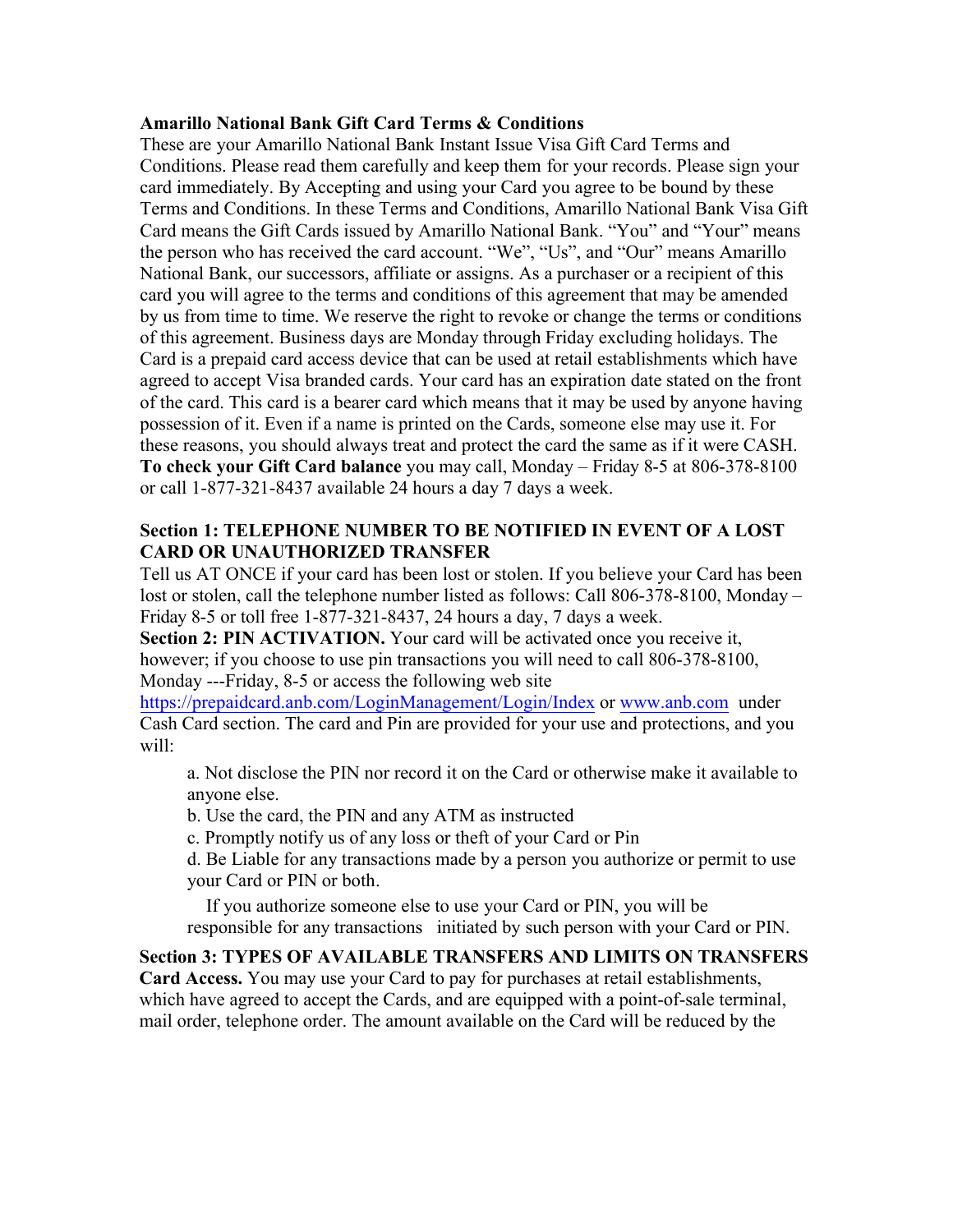### **Amarillo National Bank Gift Card Terms & Conditions**

These are your Amarillo National Bank Instant Issue Visa Gift Card Terms and Conditions. Please read them carefully and keep them for your records. Please sign your card immediately. By Accepting and using your Card you agree to be bound by these Terms and Conditions. In these Terms and Conditions, Amarillo National Bank Visa Gift Card means the Gift Cards issued by Amarillo National Bank. "You" and "Your" means the person who has received the card account. "We", "Us", and "Our" means Amarillo National Bank, our successors, affiliate or assigns. As a purchaser or a recipient of this card you will agree to the terms and conditions of this agreement that may be amended by us from time to time. We reserve the right to revoke or change the terms or conditions of this agreement. Business days are Monday through Friday excluding holidays. The Card is a prepaid card access device that can be used at retail establishments which have agreed to accept Visa branded cards. Your card has an expiration date stated on the front of the card. This card is a bearer card which means that it may be used by anyone having possession of it. Even if a name is printed on the Cards, someone else may use it. For these reasons, you should always treat and protect the card the same as if it were CASH. **To check your Gift Card balance** you may call, Monday – Friday 8-5 at 806-378-8100 or call 1-877-321-8437 available 24 hours a day 7 days a week.

# **Section 1: TELEPHONE NUMBER TO BE NOTIFIED IN EVENT OF A LOST CARD OR UNAUTHORIZED TRANSFER**

Tell us AT ONCE if your card has been lost or stolen. If you believe your Card has been lost or stolen, call the telephone number listed as follows: Call 806-378-8100, Monday – Friday 8-5 or toll free 1-877-321-8437, 24 hours a day, 7 days a week.

**Section 2: PIN ACTIVATION.** Your card will be activated once you receive it, however; if you choose to use pin transactions you will need to call 806-378-8100, Monday ---Friday, 8-5 or access the following web site

<https://prepaidcard.anb.com/LoginManagement/Login/Index> or [www.anb.com](http://www.anb.com/) under Cash Card section. The card and Pin are provided for your use and protections, and you will:

a. Not disclose the PIN nor record it on the Card or otherwise make it available to anyone else.

b. Use the card, the PIN and any ATM as instructed

c. Promptly notify us of any loss or theft of your Card or Pin

d. Be Liable for any transactions made by a person you authorize or permit to use your Card or PIN or both.

 If you authorize someone else to use your Card or PIN, you will be responsible for any transactions initiated by such person with your Card or PIN.

# **Section 3: TYPES OF AVAILABLE TRANSFERS AND LIMITS ON TRANSFERS**

**Card Access.** You may use your Card to pay for purchases at retail establishments, which have agreed to accept the Cards, and are equipped with a point-of-sale terminal, mail order, telephone order. The amount available on the Card will be reduced by the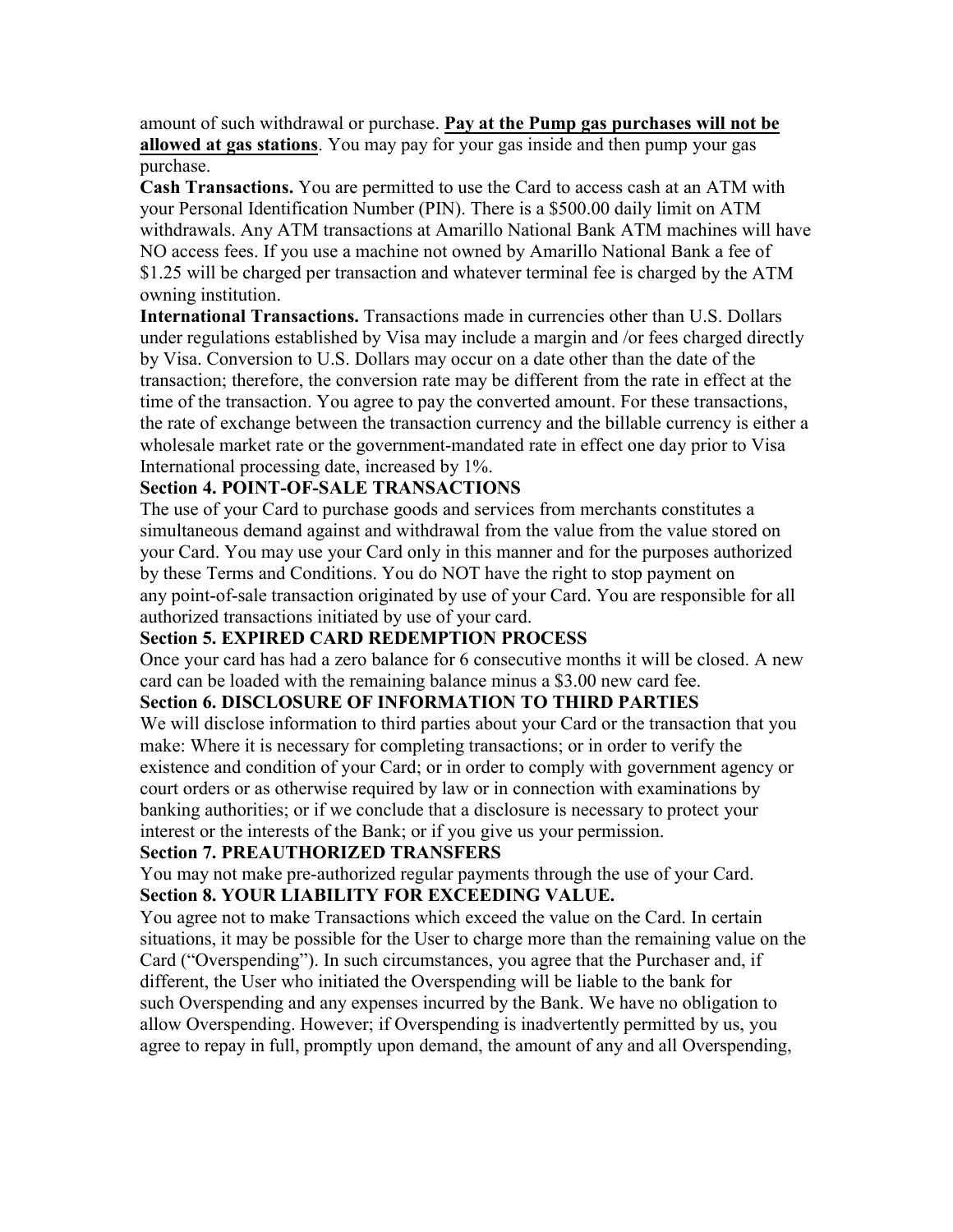amount of such withdrawal or purchase. **Pay at the Pump gas purchases will not be allowed at gas stations**. You may pay for your gas inside and then pump your gas purchase.

**Cash Transactions.** You are permitted to use the Card to access cash at an ATM with your Personal Identification Number (PIN). There is a \$500.00 daily limit on ATM withdrawals. Any ATM transactions at Amarillo National Bank ATM machines will have NO access fees. If you use a machine not owned by Amarillo National Bank a fee of \$1.25 will be charged per transaction and whatever terminal fee is charged by the ATM owning institution.

**International Transactions.** Transactions made in currencies other than U.S. Dollars under regulations established by Visa may include a margin and /or fees charged directly by Visa. Conversion to U.S. Dollars may occur on a date other than the date of the transaction; therefore, the conversion rate may be different from the rate in effect at the time of the transaction. You agree to pay the converted amount. For these transactions, the rate of exchange between the transaction currency and the billable currency is either a wholesale market rate or the government-mandated rate in effect one day prior to Visa International processing date, increased by 1%.

# **Section 4. POINT-OF-SALE TRANSACTIONS**

The use of your Card to purchase goods and services from merchants constitutes a simultaneous demand against and withdrawal from the value from the value stored on your Card. You may use your Card only in this manner and for the purposes authorized by these Terms and Conditions. You do NOT have the right to stop payment on any point-of-sale transaction originated by use of your Card. You are responsible for all authorized transactions initiated by use of your card.

## **Section 5. EXPIRED CARD REDEMPTION PROCESS**

Once your card has had a zero balance for 6 consecutive months it will be closed. A new card can be loaded with the remaining balance minus a \$3.00 new card fee.

## **Section 6. DISCLOSURE OF INFORMATION TO THIRD PARTIES**

We will disclose information to third parties about your Card or the transaction that you make: Where it is necessary for completing transactions; or in order to verify the existence and condition of your Card; or in order to comply with government agency or court orders or as otherwise required by law or in connection with examinations by banking authorities; or if we conclude that a disclosure is necessary to protect your interest or the interests of the Bank; or if you give us your permission.

## **Section 7. PREAUTHORIZED TRANSFERS**

You may not make pre-authorized regular payments through the use of your Card. **Section 8. YOUR LIABILITY FOR EXCEEDING VALUE.**

You agree not to make Transactions which exceed the value on the Card. In certain situations, it may be possible for the User to charge more than the remaining value on the Card ("Overspending"). In such circumstances, you agree that the Purchaser and, if different, the User who initiated the Overspending will be liable to the bank for such Overspending and any expenses incurred by the Bank. We have no obligation to allow Overspending. However; if Overspending is inadvertently permitted by us, you agree to repay in full, promptly upon demand, the amount of any and all Overspending,